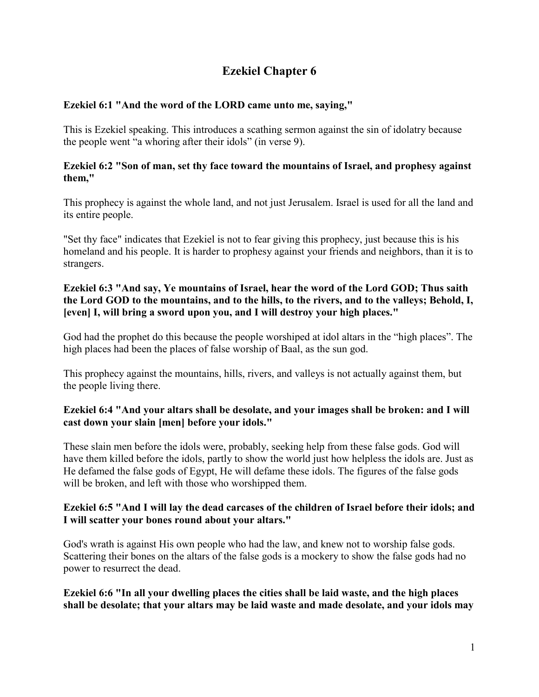# **Ezekiel Chapter 6**

# **Ezekiel 6:1 "And the word of the LORD came unto me, saying,"**

This is Ezekiel speaking. This introduces a scathing sermon against the sin of idolatry because the people went "a whoring after their idols" (in verse 9).

#### **Ezekiel 6:2 "Son of man, set thy face toward the mountains of Israel, and prophesy against them,"**

This prophecy is against the whole land, and not just Jerusalem. Israel is used for all the land and its entire people.

"Set thy face" indicates that Ezekiel is not to fear giving this prophecy, just because this is his homeland and his people. It is harder to prophesy against your friends and neighbors, than it is to strangers.

# **Ezekiel 6:3 "And say, Ye mountains of Israel, hear the word of the Lord GOD; Thus saith the Lord GOD to the mountains, and to the hills, to the rivers, and to the valleys; Behold, I, [even] I, will bring a sword upon you, and I will destroy your high places."**

God had the prophet do this because the people worshiped at idol altars in the "high places". The high places had been the places of false worship of Baal, as the sun god.

This prophecy against the mountains, hills, rivers, and valleys is not actually against them, but the people living there.

# **Ezekiel 6:4 "And your altars shall be desolate, and your images shall be broken: and I will cast down your slain [men] before your idols."**

These slain men before the idols were, probably, seeking help from these false gods. God will have them killed before the idols, partly to show the world just how helpless the idols are. Just as He defamed the false gods of Egypt, He will defame these idols. The figures of the false gods will be broken, and left with those who worshipped them.

# **Ezekiel 6:5 "And I will lay the dead carcases of the children of Israel before their idols; and I will scatter your bones round about your altars."**

God's wrath is against His own people who had the law, and knew not to worship false gods. Scattering their bones on the altars of the false gods is a mockery to show the false gods had no power to resurrect the dead.

**Ezekiel 6:6 "In all your dwelling places the cities shall be laid waste, and the high places shall be desolate; that your altars may be laid waste and made desolate, and your idols may**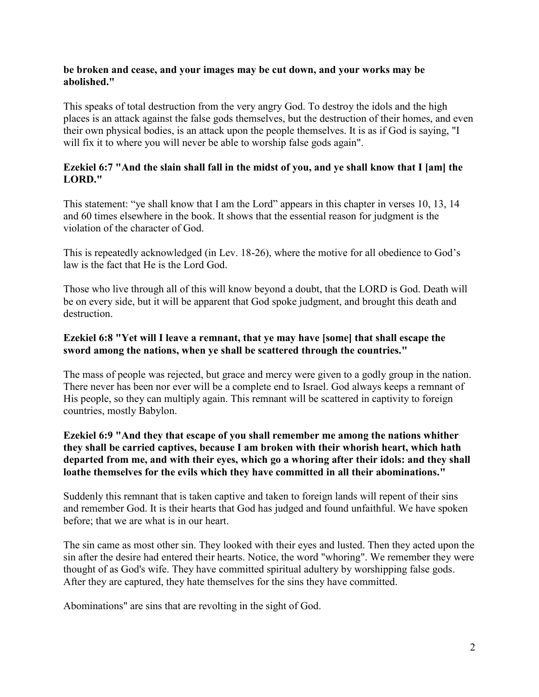#### **be broken and cease, and your images may be cut down, and your works may be abolished."**

This speaks of total destruction from the very angry God. To destroy the idols and the high places is an attack against the false gods themselves, but the destruction of their homes, and even their own physical bodies, is an attack upon the people themselves. It is as if God is saying, "I will fix it to where you will never be able to worship false gods again".

#### **Ezekiel 6:7 "And the slain shall fall in the midst of you, and ye shall know that I [am] the LORD."**

This statement: "ye shall know that I am the Lord" appears in this chapter in verses 10, 13, 14 and 60 times elsewhere in the book. It shows that the essential reason for judgment is the violation of the character of God.

This is repeatedly acknowledged (in Lev. 18-26), where the motive for all obedience to God's law is the fact that He is the Lord God.

Those who live through all of this will know beyond a doubt, that the LORD is God. Death will be on every side, but it will be apparent that God spoke judgment, and brought this death and destruction.

#### **Ezekiel 6:8 "Yet will I leave a remnant, that ye may have [some] that shall escape the sword among the nations, when ye shall be scattered through the countries."**

The mass of people was rejected, but grace and mercy were given to a godly group in the nation. There never has been nor ever will be a complete end to Israel. God always keeps a remnant of His people, so they can multiply again. This remnant will be scattered in captivity to foreign countries, mostly Babylon.

#### **Ezekiel 6:9 "And they that escape of you shall remember me among the nations whither they shall be carried captives, because I am broken with their whorish heart, which hath departed from me, and with their eyes, which go a whoring after their idols: and they shall loathe themselves for the evils which they have committed in all their abominations."**

Suddenly this remnant that is taken captive and taken to foreign lands will repent of their sins and remember God. It is their hearts that God has judged and found unfaithful. We have spoken before; that we are what is in our heart.

The sin came as most other sin. They looked with their eyes and lusted. Then they acted upon the sin after the desire had entered their hearts. Notice, the word "whoring". We remember they were thought of as God's wife. They have committed spiritual adultery by worshipping false gods. After they are captured, they hate themselves for the sins they have committed.

Abominations" are sins that are revolting in the sight of God.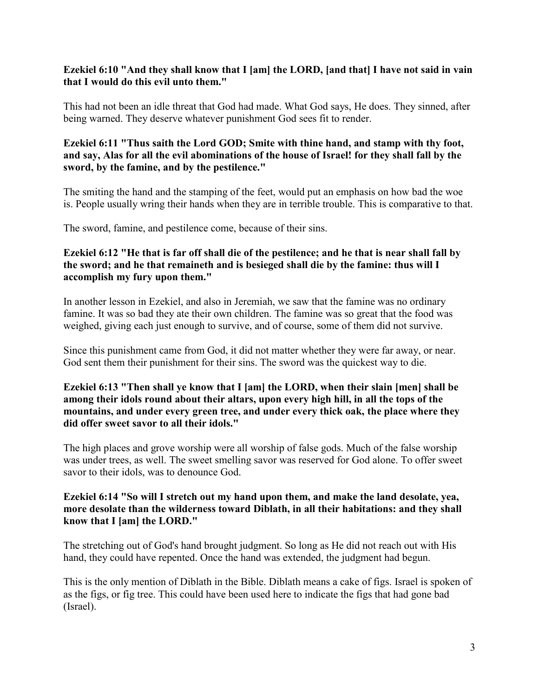#### **Ezekiel 6:10 "And they shall know that I [am] the LORD, [and that] I have not said in vain that I would do this evil unto them."**

This had not been an idle threat that God had made. What God says, He does. They sinned, after being warned. They deserve whatever punishment God sees fit to render.

#### **Ezekiel 6:11 "Thus saith the Lord GOD; Smite with thine hand, and stamp with thy foot, and say, Alas for all the evil abominations of the house of Israel! for they shall fall by the sword, by the famine, and by the pestilence."**

The smiting the hand and the stamping of the feet, would put an emphasis on how bad the woe is. People usually wring their hands when they are in terrible trouble. This is comparative to that.

The sword, famine, and pestilence come, because of their sins.

# **Ezekiel 6:12 "He that is far off shall die of the pestilence; and he that is near shall fall by the sword; and he that remaineth and is besieged shall die by the famine: thus will I accomplish my fury upon them."**

In another lesson in Ezekiel, and also in Jeremiah, we saw that the famine was no ordinary famine. It was so bad they ate their own children. The famine was so great that the food was weighed, giving each just enough to survive, and of course, some of them did not survive.

Since this punishment came from God, it did not matter whether they were far away, or near. God sent them their punishment for their sins. The sword was the quickest way to die.

# **Ezekiel 6:13 "Then shall ye know that I [am] the LORD, when their slain [men] shall be among their idols round about their altars, upon every high hill, in all the tops of the mountains, and under every green tree, and under every thick oak, the place where they did offer sweet savor to all their idols."**

The high places and grove worship were all worship of false gods. Much of the false worship was under trees, as well. The sweet smelling savor was reserved for God alone. To offer sweet savor to their idols, was to denounce God.

#### **Ezekiel 6:14 "So will I stretch out my hand upon them, and make the land desolate, yea, more desolate than the wilderness toward Diblath, in all their habitations: and they shall know that I [am] the LORD."**

The stretching out of God's hand brought judgment. So long as He did not reach out with His hand, they could have repented. Once the hand was extended, the judgment had begun.

This is the only mention of Diblath in the Bible. Diblath means a cake of figs. Israel is spoken of as the figs, or fig tree. This could have been used here to indicate the figs that had gone bad (Israel).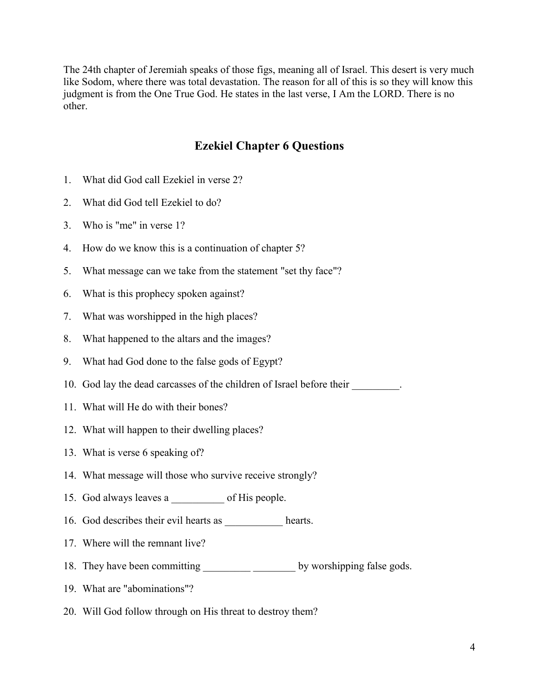The 24th chapter of Jeremiah speaks of those figs, meaning all of Israel. This desert is very much like Sodom, where there was total devastation. The reason for all of this is so they will know this judgment is from the One True God. He states in the last verse, I Am the LORD. There is no other.

# **Ezekiel Chapter 6 Questions**

- 1. What did God call Ezekiel in verse 2?
- 2. What did God tell Ezekiel to do?
- 3. Who is "me" in verse 1?
- 4. How do we know this is a continuation of chapter 5?
- 5. What message can we take from the statement "set thy face"?
- 6. What is this prophecy spoken against?
- 7. What was worshipped in the high places?
- 8. What happened to the altars and the images?
- 9. What had God done to the false gods of Egypt?
- 10. God lay the dead carcasses of the children of Israel before their  $\Box$
- 11. What will He do with their bones?
- 12. What will happen to their dwelling places?
- 13. What is verse 6 speaking of?
- 14. What message will those who survive receive strongly?
- 15. God always leaves a boot His people.
- 16. God describes their evil hearts as \_\_\_\_\_\_\_\_\_\_\_ hearts.
- 17. Where will the remnant live?
- 18. They have been committing \_\_\_\_\_\_\_\_\_\_\_\_\_\_\_\_\_\_\_\_\_\_\_\_\_ by worshipping false gods.
- 19. What are "abominations"?
- 20. Will God follow through on His threat to destroy them?